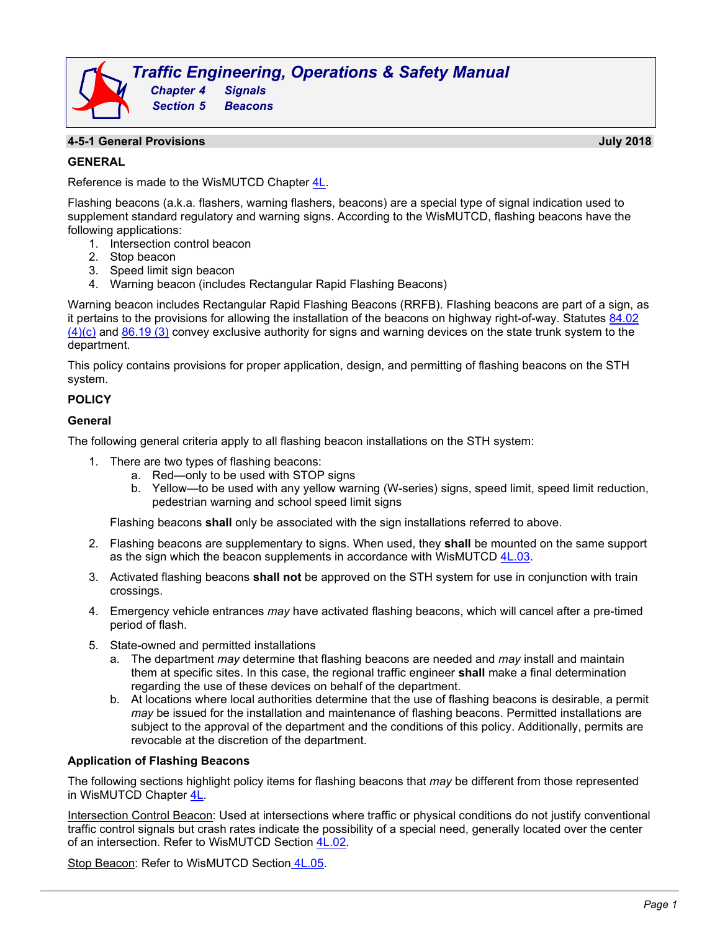# *Traffic Engineering, Operations & Safety Manual Chapter 4 Signals Section 5 Beacons*

#### **4-5-1 General Provisions July 2018**

**GENERAL**

Reference is made to the WisMUTCD Chapter  $4L$ .

Flashing beacons (a.k.a. flashers, warning flashers, beacons) are a special type of signal indication used to supplement standard regulatory and warning signs. According to the WisMUTCD, flashing beacons have the following applications:

- 1. Intersection control beacon
- 2. Stop beacon
- 3. Speed limit sign beacon
- 4. Warning beacon (includes Rectangular Rapid Flashing Beacons)

Warning beacon includes Rectangular Rapid Flashing Beacons (RRFB). Flashing beacons are part of a sign, as it pertains to the provisions for allowing the installation of the beacons on highway right-of-way. Statutes  $84.02$  $(4)(c)$  and [86.19 \(3\)](https://docs.legis.wisconsin.gov/statutes/statutes/86) convey exclusive authority for signs and warning devices on the state trunk system to the department.

This policy contains provisions for proper application, design, and permitting of flashing beacons on the STH system.

### **POLICY**

#### **General**

The following general criteria apply to all flashing beacon installations on the STH system:

- 1. There are two types of flashing beacons:
	- a. Red—only to be used with STOP signs
	- b. Yellow—to be used with any yellow warning (W-series) signs, speed limit, speed limit reduction, pedestrian warning and school speed limit signs

Flashing beacons **shall** only be associated with the sign installations referred to above.

- 2. Flashing beacons are supplementary to signs. When used, they **shall** be mounted on the same support as the sign which the beacon supplements in accordance with WisMUTCD [4L.03.](http://wisconsindot.gov/dtsdManuals/traffic-ops/manuals-and-standards/wmutcd/mutcd-ch04.pdf)
- 3. Activated flashing beacons **shall not** be approved on the STH system for use in conjunction with train crossings.
- 4. Emergency vehicle entrances *may* have activated flashing beacons, which will cancel after a pre-timed period of flash.
- 5. State-owned and permitted installations
	- a. The department *may* determine that flashing beacons are needed and *may* install and maintain them at specific sites. In this case, the regional traffic engineer **shall** make a final determination regarding the use of these devices on behalf of the department.
	- b. At locations where local authorities determine that the use of flashing beacons is desirable, a permit *may* be issued for the installation and maintenance of flashing beacons. Permitted installations are subject to the approval of the department and the conditions of this policy. Additionally, permits are revocable at the discretion of the department.

#### **Application of Flashing Beacons**

The following sections highlight policy items for flashing beacons that *may* be different from those represented in WisMUTCD Chapter [4L.](https://wisconsindot.gov/dtsdManuals/traffic-ops/manuals-and-standards/wmutcd/mutcd-ch04.pdf)

Intersection Control Beacon: Used at intersections where traffic or physical conditions do not justify conventional traffic control signals but crash rates indicate the possibility of a special need, generally located over the center of an intersection. Refer to WisMUTCD Section [4L.02.](http://wisconsindot.gov/dtsdManuals/traffic-ops/manuals-and-standards/wmutcd/mutcd-ch04.pdf)

Stop Beacon: Refer to WisMUTCD Section [4L.05.](http://wisconsindot.gov/dtsdManuals/traffic-ops/manuals-and-standards/wmutcd/mutcd-ch04.pdf)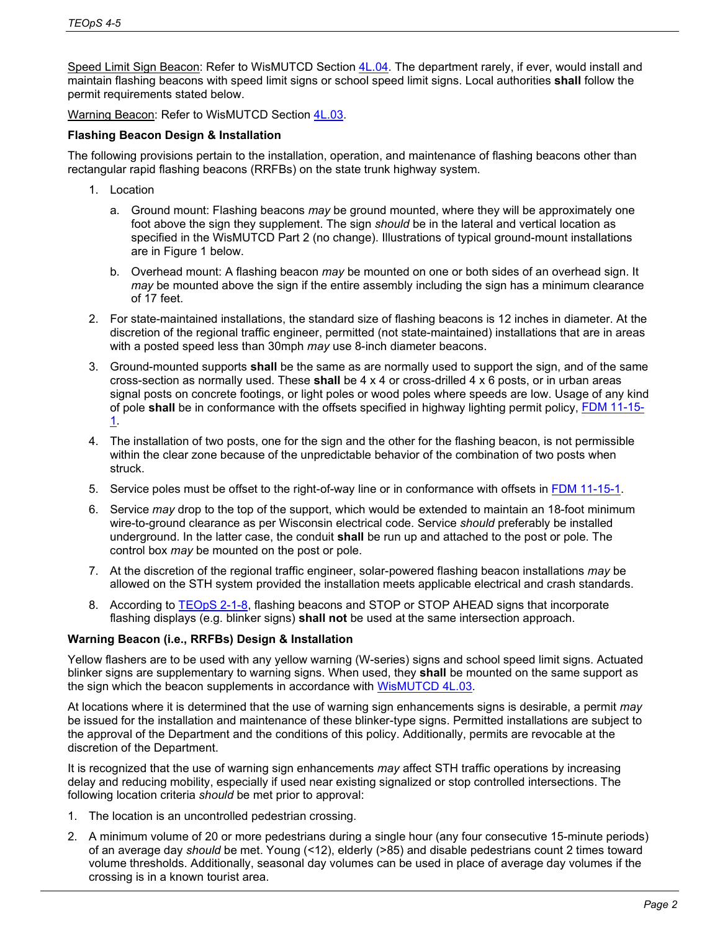Speed Limit Sign Beacon: Refer to WisMUTCD Section [4L.04.](http://wisconsindot.gov/dtsdManuals/traffic-ops/manuals-and-standards/wmutcd/mutcd-ch04.pdf) The department rarely, if ever, would install and maintain flashing beacons with speed limit signs or school speed limit signs. Local authorities **shall** follow the permit requirements stated below.

Warning Beacon: Refer to WisMUTCD Section [4L.03.](http://wisconsindot.gov/dtsdManuals/traffic-ops/manuals-and-standards/wmutcd/mutcd-ch04.pdf)

### **Flashing Beacon Design & Installation**

The following provisions pertain to the installation, operation, and maintenance of flashing beacons other than rectangular rapid flashing beacons (RRFBs) on the state trunk highway system.

- 1. Location
	- a. Ground mount: Flashing beacons *may* be ground mounted, where they will be approximately one foot above the sign they supplement. The sign *should* be in the lateral and vertical location as specified in the WisMUTCD Part 2 (no change). Illustrations of typical ground-mount installations are in Figure 1 below.
	- b. Overhead mount: A flashing beacon *may* be mounted on one or both sides of an overhead sign. It *may* be mounted above the sign if the entire assembly including the sign has a minimum clearance of 17 feet.
- 2. For state-maintained installations, the standard size of flashing beacons is 12 inches in diameter. At the discretion of the regional traffic engineer, permitted (not state-maintained) installations that are in areas with a posted speed less than 30mph *may* use 8-inch diameter beacons.
- 3. Ground-mounted supports **shall** be the same as are normally used to support the sign, and of the same cross-section as normally used. These **shall** be 4 x 4 or cross-drilled 4 x 6 posts, or in urban areas signal posts on concrete footings, or light poles or wood poles where speeds are low. Usage of any kind of pole **shall** be in conformance with the offsets specified in highway lighting permit policy, [FDM 11-15-](http://wisconsindot.gov/rdwy/fdm/fd-11-15.pdf#fd11-15-1) [1.](http://wisconsindot.gov/rdwy/fdm/fd-11-15.pdf#fd11-15-1)
- 4. The installation of two posts, one for the sign and the other for the flashing beacon, is not permissible within the clear zone because of the unpredictable behavior of the combination of two posts when struck.
- 5. Service poles must be offset to the right-of-way line or in conformance with offsets in [FDM 11-15-1.](http://wisconsindot.gov/rdwy/fdm/fd-11-15.pdf#fd11-15-1)
- 6. Service *may* drop to the top of the support, which would be extended to maintain an 18-foot minimum wire-to-ground clearance as per Wisconsin electrical code. Service *should* preferably be installed underground. In the latter case, the conduit **shall** be run up and attached to the post or pole. The control box *may* be mounted on the post or pole.
- 7. At the discretion of the regional traffic engineer, solar-powered flashing beacon installations *may* be allowed on the STH system provided the installation meets applicable electrical and crash standards.
- 8. According to [TEOpS 2-1-8,](http://wisconsindot.gov/dtsdManuals/traffic-ops/manuals-and-standards/teops/02-01.pdf) flashing beacons and STOP or STOP AHEAD signs that incorporate flashing displays (e.g. blinker signs) **shall not** be used at the same intersection approach.

## **Warning Beacon (i.e., RRFBs) Design & Installation**

Yellow flashers are to be used with any yellow warning (W-series) signs and school speed limit signs. Actuated blinker signs are supplementary to warning signs. When used, they **shall** be mounted on the same support as the sign which the beacon supplements in accordance with [WisMUTCD 4L.03.](https://wisconsindot.gov/dtsdManuals/traffic-ops/manuals-and-standards/wmutcd/mutcd-ch04.pdf)

At locations where it is determined that the use of warning sign enhancements signs is desirable, a permit *may*  be issued for the installation and maintenance of these blinker-type signs. Permitted installations are subject to the approval of the Department and the conditions of this policy. Additionally, permits are revocable at the discretion of the Department.

It is recognized that the use of warning sign enhancements *may* affect STH traffic operations by increasing delay and reducing mobility, especially if used near existing signalized or stop controlled intersections. The following location criteria *should* be met prior to approval:

- 1. The location is an uncontrolled pedestrian crossing.
- 2. A minimum volume of 20 or more pedestrians during a single hour (any four consecutive 15-minute periods) of an average day *should* be met. Young (<12), elderly (>85) and disable pedestrians count 2 times toward volume thresholds. Additionally, seasonal day volumes can be used in place of average day volumes if the crossing is in a known tourist area.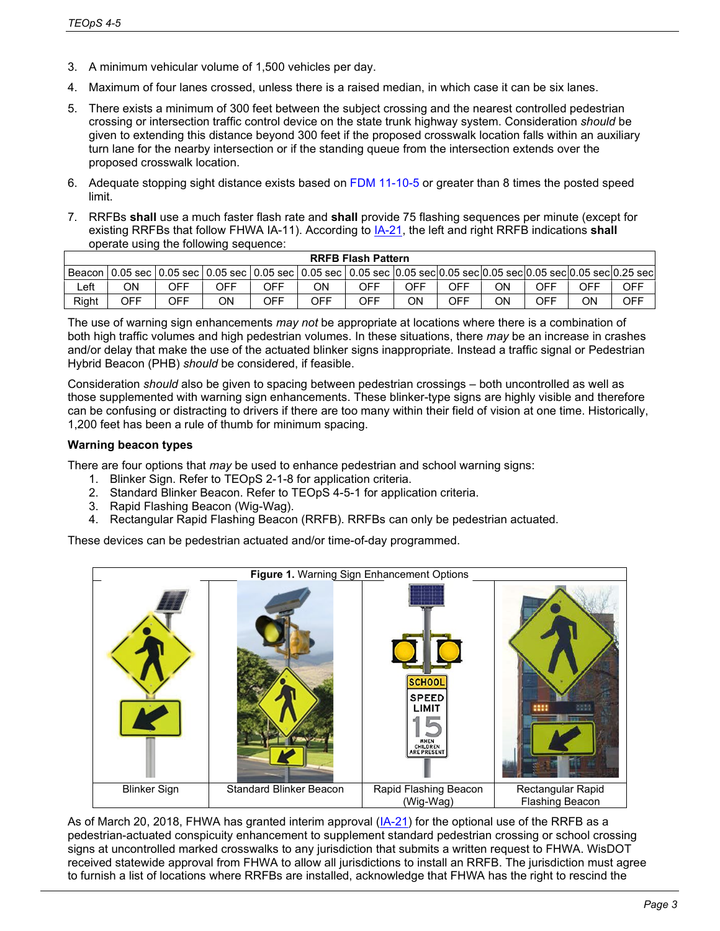- 3. A minimum vehicular volume of 1,500 vehicles per day.
- 4. Maximum of four lanes crossed, unless there is a raised median, in which case it can be six lanes.
- 5. There exists a minimum of 300 feet between the subject crossing and the nearest controlled pedestrian crossing or intersection traffic control device on the state trunk highway system. Consideration *should* be given to extending this distance beyond 300 feet if the proposed crosswalk location falls within an auxiliary turn lane for the nearby intersection or if the standing queue from the intersection extends over the proposed crosswalk location.
- 6. Adequate stopping sight distance exists based on FDM 11-10-5 or greater than 8 times the posted speed limit.
- 7. RRFBs **shall** use a much faster flash rate and **shall** provide 75 flashing sequences per minute (except for existing RRFBs that follow FHWA IA-11). According to [IA-21,](https://mutcd.fhwa.dot.gov/resources/interim_approval/ia21/index.htm) the left and right RRFB indications **shall** operate using the following sequence:

| <b>RRFB Flash Pattern</b> |                                                                                                                                   |     |     |     |     |     |     |     |    |     |     |            |
|---------------------------|-----------------------------------------------------------------------------------------------------------------------------------|-----|-----|-----|-----|-----|-----|-----|----|-----|-----|------------|
|                           | l Beacon   0.05 sec   0.05 sec   0.05 sec   0.05 sec   0.05 sec   0.05 sec  0.05 sec 0.05 sec 0.05 sec 0.05 sec 0.05 sec 0.25 sec |     |     |     |     |     |     |     |    |     |     |            |
| Left                      | ΟN                                                                                                                                | OFF | OFF | OFF | ОN  | OFF | OFF | OFF | ON | OFF | OFF | OFF        |
| Right                     | OFF                                                                                                                               | OFF | ΟN  | OFF | OFF | OFF | ΟN  | OFF | OΝ | OFF | ΟN  | <b>OFF</b> |

The use of warning sign enhancements *may not* be appropriate at locations where there is a combination of both high traffic volumes and high pedestrian volumes. In these situations, there *may* be an increase in crashes and/or delay that make the use of the actuated blinker signs inappropriate. Instead a traffic signal or Pedestrian Hybrid Beacon (PHB) *should* be considered, if feasible.

Consideration *should* also be given to spacing between pedestrian crossings – both uncontrolled as well as those supplemented with warning sign enhancements. These blinker-type signs are highly visible and therefore can be confusing or distracting to drivers if there are too many within their field of vision at one time. Historically, 1,200 feet has been a rule of thumb for minimum spacing.

## **Warning beacon types**

There are four options that *may* be used to enhance pedestrian and school warning signs:

- 1. Blinker Sign. Refer to TEOpS 2-1-8 for application criteria.
- 2. Standard Blinker Beacon. Refer to TEOpS 4-5-1 for application criteria.
- 3. Rapid Flashing Beacon (Wig-Wag).
- 4. Rectangular Rapid Flashing Beacon (RRFB). RRFBs can only be pedestrian actuated.

These devices can be pedestrian actuated and/or time-of-day programmed.



As of March 20, 2018, FHWA has granted interim approval [\(IA-21\)](https://mutcd.fhwa.dot.gov/resources/interim_approval/ia21/index.htm) for the optional use of the RRFB as a pedestrian-actuated conspicuity enhancement to supplement standard pedestrian crossing or school crossing signs at uncontrolled marked crosswalks to any jurisdiction that submits a written request to FHWA. WisDOT received statewide approval from FHWA to allow all jurisdictions to install an RRFB. The jurisdiction must agree to furnish a list of locations where RRFBs are installed, acknowledge that FHWA has the right to rescind the